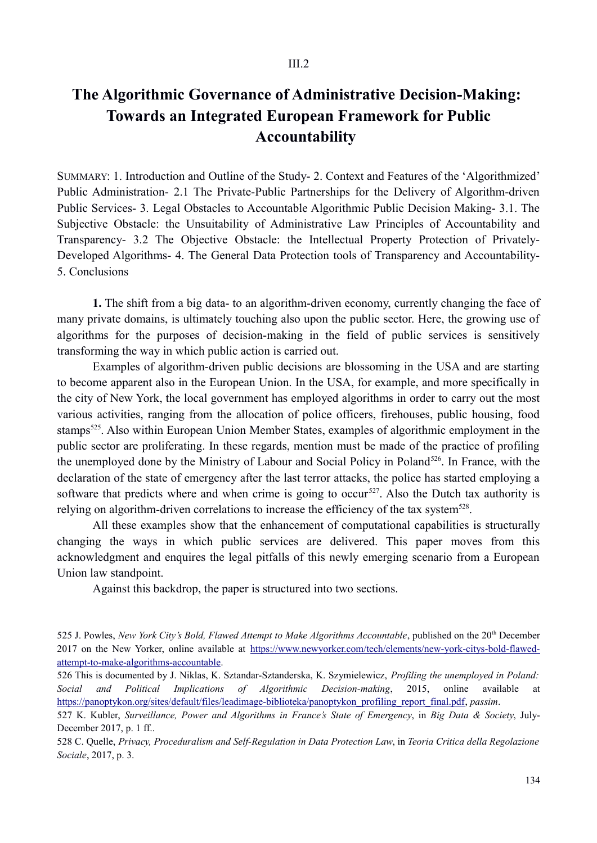## **The Algorithmic Governance of Administrative Decision-Making: Towards an Integrated European Framework for Public Accountability**

SUMMARY: 1. Introduction and Outline of the Study- 2. Context and Features of the 'Algorithmized' Public Administration- 2.1 The Private-Public Partnerships for the Delivery of Algorithm-driven Public Services- 3. Legal Obstacles to Accountable Algorithmic Public Decision Making- 3.1. The Subjective Obstacle: the Unsuitability of Administrative Law Principles of Accountability and Transparency- 3.2 The Objective Obstacle: the Intellectual Property Protection of Privately-Developed Algorithms- 4. The General Data Protection tools of Transparency and Accountability-5. Conclusions

**1.** The shift from a big data- to an algorithm-driven economy, currently changing the face of many private domains, is ultimately touching also upon the public sector. Here, the growing use of algorithms for the purposes of decision-making in the field of public services is sensitively transforming the way in which public action is carried out.

Examples of algorithm-driven public decisions are blossoming in the USA and are starting to become apparent also in the European Union. In the USA, for example, and more specifically in the city of New York, the local government has employed algorithms in order to carry out the most various activities, ranging from the allocation of police officers, firehouses, public housing, food stamps<sup>525</sup>. Also within European Union Member States, examples of algorithmic employment in the public sector are proliferating. In these regards, mention must be made of the practice of profiling the unemployed done by the Ministry of Labour and Social Policy in Poland<sup>526</sup>. In France, with the declaration of the state of emergency after the last terror attacks, the police has started employing a software that predicts where and when crime is going to occur<sup>527</sup>. Also the Dutch tax authority is relying on algorithm-driven correlations to increase the efficiency of the tax system<sup>528</sup>.

All these examples show that the enhancement of computational capabilities is structurally changing the ways in which public services are delivered. This paper moves from this acknowledgment and enquires the legal pitfalls of this newly emerging scenario from a European Union law standpoint.

Against this backdrop, the paper is structured into two sections.

526 This is documented by J. Niklas, K. Sztandar-Sztanderska, K. Szymielewicz, *Profiling the unemployed in Poland: Social and Political Implications of Algorithmic Decision-making*, 2015, online available at https://panoptykon.org/sites/default/files/leadimage-biblioteka/panoptykon\_profiling\_report\_final.pdf, *passim*.

528 C. Quelle, *Privacy, Proceduralism and Self-Regulation in Data Protection Law*, in *Teoria Critica della Regolazione Sociale*, 2017, p. 3.

<sup>525</sup> J. Powles, *New York City's Bold, Flawed Attempt to Make Algorithms Accountable*, published on the 20th December 2017 on the New Yorker, online available at https://www.newyorker.com/tech/elements/new-york-citys-bold-flawedattempt-to-make-algorithms-accountable.

<sup>527</sup> K. Kubler, *Surveillance, Power and Algorithms in France's State of Emergency*, in *Big Data & Society*, July-December 2017, p. 1 ff..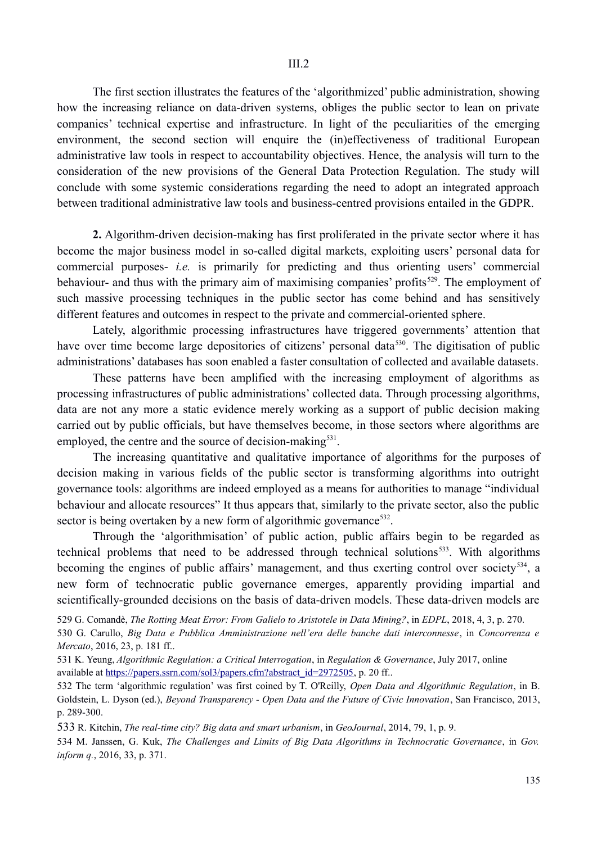The first section illustrates the features of the 'algorithmized' public administration, showing how the increasing reliance on data-driven systems, obliges the public sector to lean on private companies' technical expertise and infrastructure. In light of the peculiarities of the emerging environment, the second section will enquire the (in)effectiveness of traditional European administrative law tools in respect to accountability objectives. Hence, the analysis will turn to the consideration of the new provisions of the General Data Protection Regulation. The study will conclude with some systemic considerations regarding the need to adopt an integrated approach between traditional administrative law tools and business-centred provisions entailed in the GDPR.

**2.** Algorithm-driven decision-making has first proliferated in the private sector where it has become the major business model in so-called digital markets, exploiting users' personal data for commercial purposes- *i.e.* is primarily for predicting and thus orienting users' commercial behaviour- and thus with the primary aim of maximising companies' profits<sup>529</sup>. The employment of such massive processing techniques in the public sector has come behind and has sensitively different features and outcomes in respect to the private and commercial-oriented sphere.

Lately, algorithmic processing infrastructures have triggered governments' attention that have over time become large depositories of citizens' personal data<sup>530</sup>. The digitisation of public administrations' databases has soon enabled a faster consultation of collected and available datasets.

These patterns have been amplified with the increasing employment of algorithms as processing infrastructures of public administrations' collected data. Through processing algorithms, data are not any more a static evidence merely working as a support of public decision making carried out by public officials, but have themselves become, in those sectors where algorithms are employed, the centre and the source of decision-making $531$ .

The increasing quantitative and qualitative importance of algorithms for the purposes of decision making in various fields of the public sector is transforming algorithms into outright governance tools: algorithms are indeed employed as a means for authorities to manage "individual behaviour and allocate resources" It thus appears that, similarly to the private sector, also the public sector is being overtaken by a new form of algorithmic governance<sup>532</sup>.

Through the 'algorithmisation' of public action, public affairs begin to be regarded as technical problems that need to be addressed through technical solutions $533$ . With algorithms becoming the engines of public affairs' management, and thus exerting control over society<sup>534</sup>, a new form of technocratic public governance emerges, apparently providing impartial and scientifically-grounded decisions on the basis of data-driven models. These data-driven models are

529 G. Comandè, *The Rotting Meat Error: From Galielo to Aristotele in Data Mining?*, in *EDPL*, 2018, 4, 3, p. 270.

530 G. Carullo, *Big Data e Pubblica Amministrazione nell'era delle banche dati interconnesse*, in *Concorrenza e Mercato*, 2016, 23, p. 181 ff..

532 The term 'algorithmic regulation' was first coined by T. O'Reilly, *Open Data and Algorithmic Regulation*, in B. Goldstein, L. Dyson (ed.), *Beyond Transparency - Open Data and the Future of Civic Innovation*, San Francisco, 2013, p. 289-300.

533 R. Kitchin, *The real-time city? Big data and smart urbanism*, in *GeoJournal*, 2014, 79, 1, p. 9.

534 M. Janssen, G. Kuk, *The Challenges and Limits of Big Data Algorithms in Technocratic Governance*, in *Gov. inform q.*, 2016, 33, p. 371.

<sup>531</sup> K. Yeung, *Algorithmic Regulation: a Critical Interrogation*, in *Regulation & Governance*, July 2017, online available at https://papers.ssrn.com/sol3/papers.cfm?abstract\_id=2972505, p. 20 ff..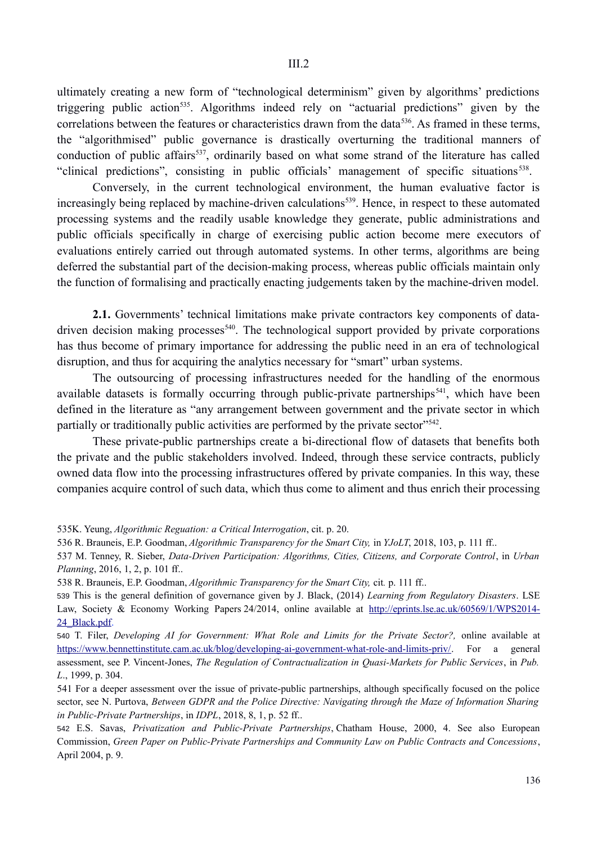ultimately creating a new form of "technological determinism" given by algorithms' predictions triggering public action535. Algorithms indeed rely on "actuarial predictions" given by the correlations between the features or characteristics drawn from the data<sup>536</sup>. As framed in these terms, the "algorithmised" public governance is drastically overturning the traditional manners of conduction of public affairs<sup>537</sup>, ordinarily based on what some strand of the literature has called "clinical predictions", consisting in public officials' management of specific situations<sup>538</sup>.

Conversely, in the current technological environment, the human evaluative factor is increasingly being replaced by machine-driven calculations<sup>539</sup>. Hence, in respect to these automated processing systems and the readily usable knowledge they generate, public administrations and public officials specifically in charge of exercising public action become mere executors of evaluations entirely carried out through automated systems. In other terms, algorithms are being deferred the substantial part of the decision-making process, whereas public officials maintain only the function of formalising and practically enacting judgements taken by the machine-driven model.

**2.1.** Governments' technical limitations make private contractors key components of datadriven decision making processes<sup>540</sup>. The technological support provided by private corporations has thus become of primary importance for addressing the public need in an era of technological disruption, and thus for acquiring the analytics necessary for "smart" urban systems.

The outsourcing of processing infrastructures needed for the handling of the enormous available datasets is formally occurring through public-private partnerships<sup> $541$ </sup>, which have been defined in the literature as "any arrangement between government and the private sector in which partially or traditionally public activities are performed by the private sector<sup>"542</sup>.

These private-public partnerships create a bi-directional flow of datasets that benefits both the private and the public stakeholders involved. Indeed, through these service contracts, publicly owned data flow into the processing infrastructures offered by private companies. In this way, these companies acquire control of such data, which thus come to aliment and thus enrich their processing

538 R. Brauneis, E.P. Goodman, *Algorithmic Transparency for the Smart City,* cit*.* p. 111 ff..

540 T. Filer, *Developing AI for Government: What Role and Limits for the Private Sector?,* online available at https://www.bennettinstitute.cam.ac.uk/blog/developing-ai-government-what-role-and-limits-priv/. For a general assessment, see P. Vincent-Jones, *The Regulation of Contractualization in Quasi-Markets for Public Services*, in *Pub. L*., 1999, p. 304.

541 For a deeper assessment over the issue of private-public partnerships, although specifically focused on the police sector, see N. Purtova, *Between GDPR and the Police Directive: Navigating through the Maze of Information Sharing in Public-Private Partnerships*, in *IDPL*, 2018, 8, 1, p. 52 ff..

542 E.S. Savas, *Privatization and Public-Private Partnerships*, Chatham House, 2000, 4. See also European Commission, *Green Paper on Public-Private Partnerships and Community Law on Public Contracts and Concessions*, April 2004, p. 9.

<sup>535</sup>K. Yeung, *Algorithmic Reguation: a Critical Interrogation*, cit. p. 20.

<sup>536</sup> R. Brauneis, E.P. Goodman, *Algorithmic Transparency for the Smart City,* in *YJoLT*, 2018, 103, p. 111 ff..

<sup>537</sup> M. Tenney, R. Sieber, *Data-Driven Participation: Algorithms, Cities, Citizens, and Corporate Control*, in *Urban Planning*, 2016, 1, 2, p. 101 ff..

<sup>539</sup> This is the general definition of governance given by J. Black, (2014) *Learning from Regulatory Disasters*. LSE Law, Society & Economy Working Papers 24/2014, online available at http://eprints.lse.ac.uk/60569/1/WPS2014- 24\_Black.pdf.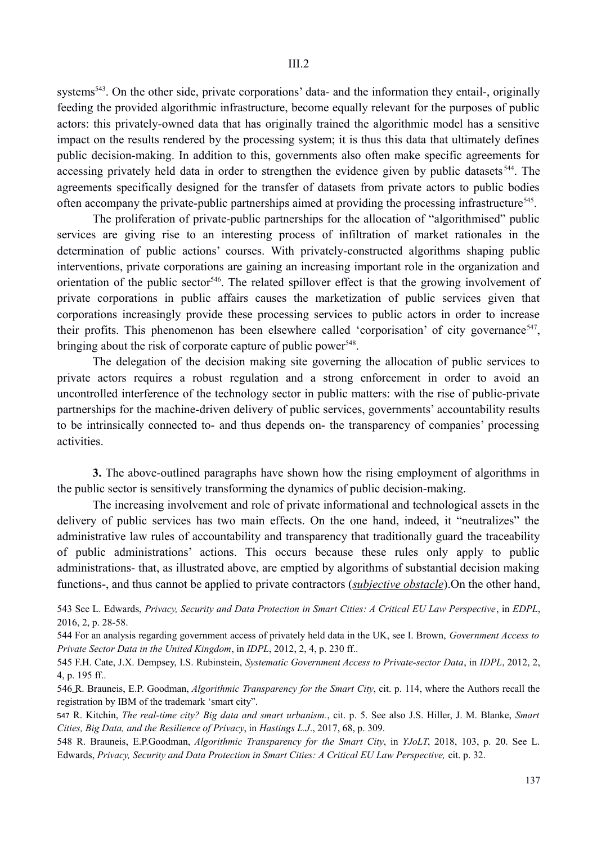systems<sup>543</sup>. On the other side, private corporations' data- and the information they entail-, originally feeding the provided algorithmic infrastructure, become equally relevant for the purposes of public actors: this privately-owned data that has originally trained the algorithmic model has a sensitive impact on the results rendered by the processing system; it is thus this data that ultimately defines public decision-making. In addition to this, governments also often make specific agreements for accessing privately held data in order to strengthen the evidence given by public datasets<sup>544</sup>. The agreements specifically designed for the transfer of datasets from private actors to public bodies often accompany the private-public partnerships aimed at providing the processing infrastructure<sup>545</sup>.

The proliferation of private-public partnerships for the allocation of "algorithmised" public services are giving rise to an interesting process of infiltration of market rationales in the determination of public actions' courses. With privately-constructed algorithms shaping public interventions, private corporations are gaining an increasing important role in the organization and orientation of the public sector<sup>546</sup>. The related spillover effect is that the growing involvement of private corporations in public affairs causes the marketization of public services given that corporations increasingly provide these processing services to public actors in order to increase their profits. This phenomenon has been elsewhere called 'corporisation' of city governance<sup>547</sup>, bringing about the risk of corporate capture of public power<sup>548</sup>.

The delegation of the decision making site governing the allocation of public services to private actors requires a robust regulation and a strong enforcement in order to avoid an uncontrolled interference of the technology sector in public matters: with the rise of public-private partnerships for the machine-driven delivery of public services, governments' accountability results to be intrinsically connected to- and thus depends on- the transparency of companies' processing activities.

**3.** The above-outlined paragraphs have shown how the rising employment of algorithms in the public sector is sensitively transforming the dynamics of public decision-making.

The increasing involvement and role of private informational and technological assets in the delivery of public services has two main effects. On the one hand, indeed, it "neutralizes" the administrative law rules of accountability and transparency that traditionally guard the traceability of public administrations' actions. This occurs because these rules only apply to public administrations- that, as illustrated above, are emptied by algorithms of substantial decision making functions-, and thus cannot be applied to private contractors (*subjective obstacle*).On the other hand,

543 See L. Edwards, *Privacy, Security and Data Protection in Smart Cities: A Critical EU Law Perspective*, in *EDPL*, 2016, 2, p. 28-58.

544 For an analysis regarding government access of privately held data in the UK, see I. Brown, *Government Access to Private Sector Data in the United Kingdom*, in *IDPL*, 2012, 2, 4, p. 230 ff..

545 F.H. Cate, J.X. Dempsey, I.S. Rubinstein, *Systematic Government Access to Private-sector Data*, in *IDPL*, 2012, 2, 4, p. 195 ff..

546R. Brauneis, E.P. Goodman, *Algorithmic Transparency for the Smart City*, cit. p. 114, where the Authors recall the registration by IBM of the trademark 'smart city".

547 R. Kitchin, *The real-time city? Big data and smart urbanism.*, cit. p. 5. See also J.S. Hiller, J. M. Blanke, *Smart Cities, Big Data, and the Resilience of Privacy*, in *Hastings L.J*., 2017, 68, p. 309.

548 R. Brauneis, E.P.Goodman, *Algorithmic Transparency for the Smart City*, in *YJoLT*, 2018, 103, p. 20. See L. Edwards, *Privacy, Security and Data Protection in Smart Cities: A Critical EU Law Perspective,* cit. p. 32.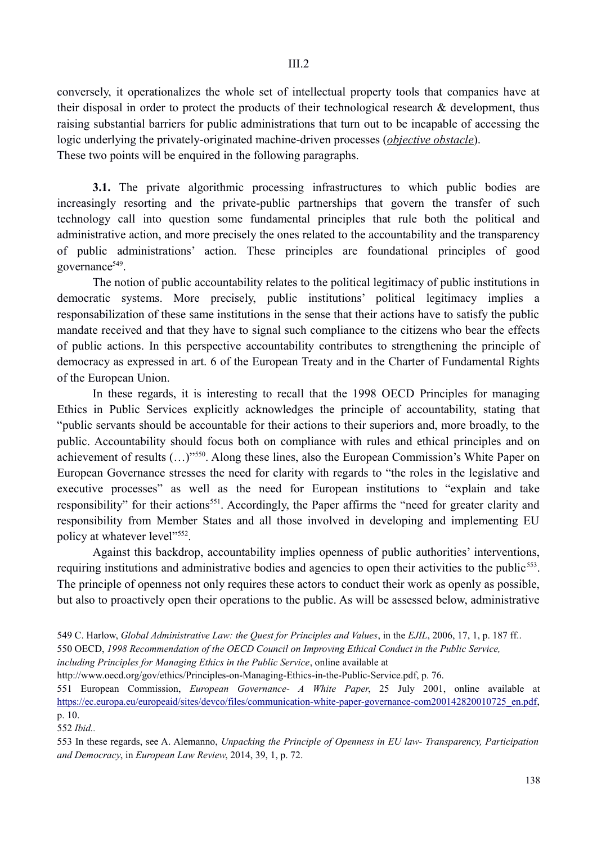III.2

conversely, it operationalizes the whole set of intellectual property tools that companies have at their disposal in order to protect the products of their technological research  $\&$  development, thus raising substantial barriers for public administrations that turn out to be incapable of accessing the logic underlying the privately-originated machine-driven processes (*objective obstacle*). These two points will be enquired in the following paragraphs.

**3.1.** The private algorithmic processing infrastructures to which public bodies are increasingly resorting and the private-public partnerships that govern the transfer of such technology call into question some fundamental principles that rule both the political and administrative action, and more precisely the ones related to the accountability and the transparency of public administrations' action. These principles are foundational principles of good governance<sup>549</sup>.

The notion of public accountability relates to the political legitimacy of public institutions in democratic systems. More precisely, public institutions' political legitimacy implies a responsabilization of these same institutions in the sense that their actions have to satisfy the public mandate received and that they have to signal such compliance to the citizens who bear the effects of public actions. In this perspective accountability contributes to strengthening the principle of democracy as expressed in art. 6 of the European Treaty and in the Charter of Fundamental Rights of the European Union.

In these regards, it is interesting to recall that the 1998 OECD Principles for managing Ethics in Public Services explicitly acknowledges the principle of accountability, stating that "public servants should be accountable for their actions to their superiors and, more broadly, to the public. Accountability should focus both on compliance with rules and ethical principles and on achievement of results (…)"550. Along these lines, also the European Commission's White Paper on European Governance stresses the need for clarity with regards to "the roles in the legislative and executive processes" as well as the need for European institutions to "explain and take responsibility" for their actions<sup>551</sup>. Accordingly, the Paper affirms the "need for greater clarity and responsibility from Member States and all those involved in developing and implementing EU policy at whatever level"<sup>552</sup>.

Against this backdrop, accountability implies openness of public authorities' interventions, requiring institutions and administrative bodies and agencies to open their activities to the public<sup>553</sup>. The principle of openness not only requires these actors to conduct their work as openly as possible, but also to proactively open their operations to the public. As will be assessed below, administrative

552 *Ibid..* 

<sup>549</sup> C. Harlow, *Global Administrative Law: the Quest for Principles and Values*, in the *EJIL*, 2006, 17, 1, p. 187 ff..

<sup>550</sup> OECD, *1998 Recommendation of the OECD Council on Improving Ethical Conduct in the Public Service,* 

*including Principles for Managing Ethics in the Public Service*, online available at

http://www.oecd.org/gov/ethics/Principles-on-Managing-Ethics-in-the-Public-Service.pdf, p. 76.

<sup>551</sup> European Commission, *European Governance- A White Paper*, 25 July 2001, online available at https://ec.europa.eu/europeaid/sites/devco/files/communication-white-paper-governance-com200142820010725\_en.pdf, p. 10.

<sup>553</sup> In these regards, see A. Alemanno, *Unpacking the Principle of Openness in EU law- Transparency, Participation and Democracy*, in *European Law Review*, 2014, 39, 1, p. 72.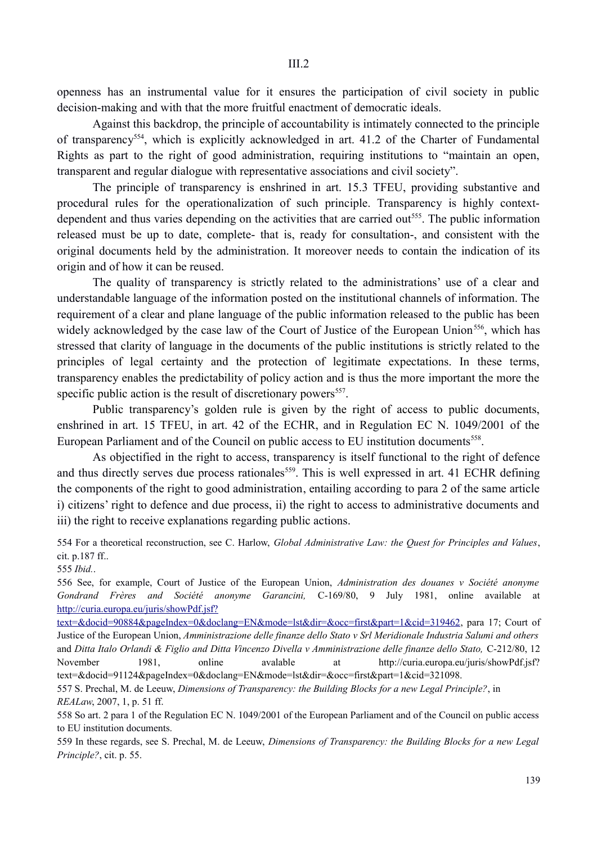openness has an instrumental value for it ensures the participation of civil society in public decision-making and with that the more fruitful enactment of democratic ideals.

Against this backdrop, the principle of accountability is intimately connected to the principle of transparency554, which is explicitly acknowledged in art. 41.2 of the Charter of Fundamental Rights as part to the right of good administration, requiring institutions to "maintain an open, transparent and regular dialogue with representative associations and civil society".

The principle of transparency is enshrined in art. 15.3 TFEU, providing substantive and procedural rules for the operationalization of such principle. Transparency is highly contextdependent and thus varies depending on the activities that are carried out<sup>555</sup>. The public information released must be up to date, complete- that is, ready for consultation-, and consistent with the original documents held by the administration. It moreover needs to contain the indication of its origin and of how it can be reused.

The quality of transparency is strictly related to the administrations' use of a clear and understandable language of the information posted on the institutional channels of information. The requirement of a clear and plane language of the public information released to the public has been widely acknowledged by the case law of the Court of Justice of the European Union<sup>556</sup>, which has stressed that clarity of language in the documents of the public institutions is strictly related to the principles of legal certainty and the protection of legitimate expectations. In these terms, transparency enables the predictability of policy action and is thus the more important the more the specific public action is the result of discretionary powers<sup>557</sup>.

Public transparency's golden rule is given by the right of access to public documents, enshrined in art. 15 TFEU, in art. 42 of the ECHR, and in Regulation EC N. 1049/2001 of the European Parliament and of the Council on public access to EU institution documents<sup>558</sup>.

As objectified in the right to access, transparency is itself functional to the right of defence and thus directly serves due process rationales<sup>559</sup>. This is well expressed in art. 41 ECHR defining the components of the right to good administration, entailing according to para 2 of the same article i) citizens' right to defence and due process, ii) the right to access to administrative documents and iii) the right to receive explanations regarding public actions.

554 For a theoretical reconstruction, see C. Harlow, *Global Administrative Law: the Quest for Principles and Values*, cit. p.187 ff..

555 *Ibid.*.

556 See, for example, Court of Justice of the European Union, *Administration des douanes v Société anonyme Gondrand Frères and Société anonyme Garancini,* C-169/80, 9 July 1981, online available at http://curia.europa.eu/juris/showPdf.jsf?

text=&docid=90884&pageIndex=0&doclang=EN&mode=lst&dir=&occ=first&part=1&cid=319462, para 17; Court of Justice of the European Union, *Amministrazione delle finanze dello Stato v Srl Meridionale Industria Salumi and others* and *Ditta Italo Orlandi & Figlio and Ditta Vincenzo Divella v Amministrazione delle finanze dello Stato,* C-212/80, 12 November 1981, online avalable at http://curia.europa.eu/juris/showPdf.jsf? text=&docid=91124&pageIndex=0&doclang=EN&mode=lst&dir=&occ=first&part=1&cid=321098.

557 S. Prechal, M. de Leeuw, *Dimensions of Transparency: the Building Blocks for a new Legal Principle?*, in *REALaw*, 2007, 1, p. 51 ff.

558 So art. 2 para 1 of the Regulation EC N. 1049/2001 of the European Parliament and of the Council on public access to EU institution documents.

559 In these regards, see S. Prechal, M. de Leeuw, *Dimensions of Transparency: the Building Blocks for a new Legal Principle?*, cit. p. 55.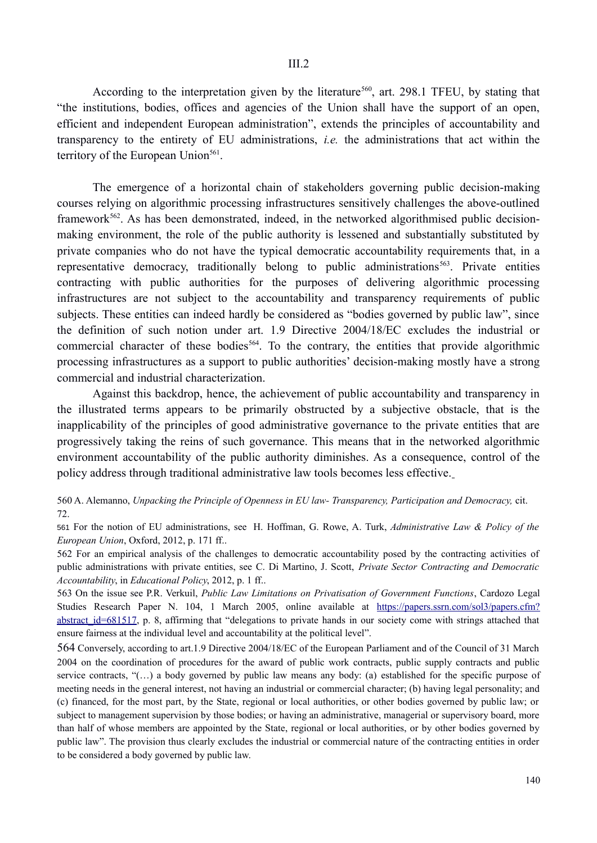According to the interpretation given by the literature<sup>560</sup>, art. 298.1 TFEU, by stating that "the institutions, bodies, offices and agencies of the Union shall have the support of an open, efficient and independent European administration", extends the principles of accountability and transparency to the entirety of EU administrations, *i.e.* the administrations that act within the territory of the European Union $561$ .

The emergence of a horizontal chain of stakeholders governing public decision-making courses relying on algorithmic processing infrastructures sensitively challenges the above-outlined framework<sup>562</sup>. As has been demonstrated, indeed, in the networked algorithmised public decisionmaking environment, the role of the public authority is lessened and substantially substituted by private companies who do not have the typical democratic accountability requirements that, in a representative democracy, traditionally belong to public administrations<sup>563</sup>. Private entities contracting with public authorities for the purposes of delivering algorithmic processing infrastructures are not subject to the accountability and transparency requirements of public subjects. These entities can indeed hardly be considered as "bodies governed by public law", since the definition of such notion under art. 1.9 Directive 2004/18/EC excludes the industrial or commercial character of these bodies<sup>564</sup>. To the contrary, the entities that provide algorithmic processing infrastructures as a support to public authorities' decision-making mostly have a strong commercial and industrial characterization.

Against this backdrop, hence, the achievement of public accountability and transparency in the illustrated terms appears to be primarily obstructed by a subjective obstacle, that is the inapplicability of the principles of good administrative governance to the private entities that are progressively taking the reins of such governance. This means that in the networked algorithmic environment accountability of the public authority diminishes. As a consequence, control of the policy address through traditional administrative law tools becomes less effective.

560 A. Alemanno, *Unpacking the Principle of Openness in EU law- Transparency, Participation and Democracy,* cit. 72.

561 For the notion of EU administrations, see H. Hoffman, G. Rowe, A. Turk, *Administrative Law & Policy of the European Union*, Oxford, 2012, p. 171 ff..

562 For an empirical analysis of the challenges to democratic accountability posed by the contracting activities of public administrations with private entities, see C. Di Martino, J. Scott, *Private Sector Contracting and Democratic Accountability*, in *Educational Policy*, 2012, p. 1 ff..

563 On the issue see P.R. Verkuil, *Public Law Limitations on Privatisation of Government Functions*, Cardozo Legal Studies Research Paper N. 104, 1 March 2005, online available at https://papers.ssrn.com/sol3/papers.cfm? abstract\_id=681517, p. 8, affirming that "delegations to private hands in our society come with strings attached that ensure fairness at the individual level and accountability at the political level".

564 Conversely, according to art.1.9 Directive 2004/18/EC of the European Parliament and of the Council of 31 March 2004 on the coordination of procedures for the award of public work contracts, public supply contracts and public service contracts, "(…) a body governed by public law means any body: (a) established for the specific purpose of meeting needs in the general interest, not having an industrial or commercial character; (b) having legal personality; and (c) financed, for the most part, by the State, regional or local authorities, or other bodies governed by public law; or subject to management supervision by those bodies; or having an administrative, managerial or supervisory board, more than half of whose members are appointed by the State, regional or local authorities, or by other bodies governed by public law". The provision thus clearly excludes the industrial or commercial nature of the contracting entities in order to be considered a body governed by public law.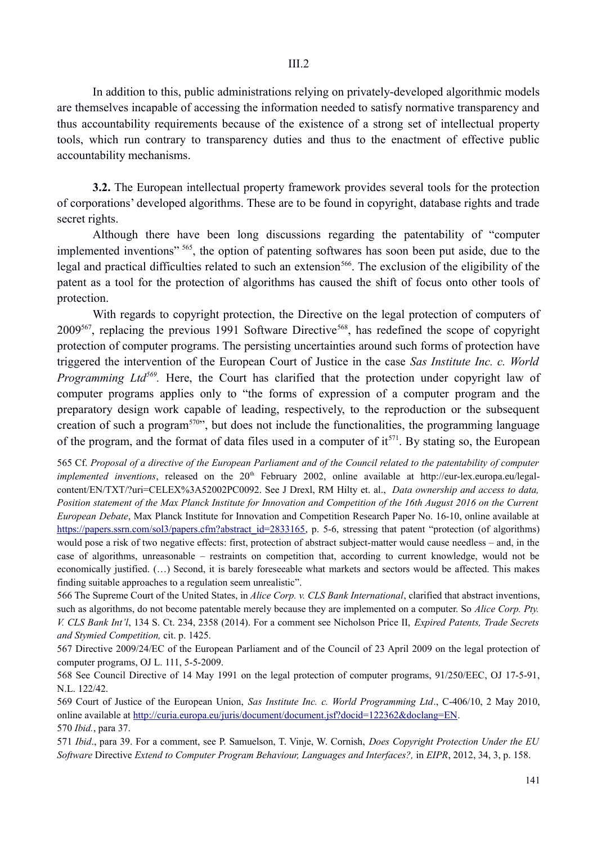In addition to this, public administrations relying on privately-developed algorithmic models are themselves incapable of accessing the information needed to satisfy normative transparency and thus accountability requirements because of the existence of a strong set of intellectual property tools, which run contrary to transparency duties and thus to the enactment of effective public accountability mechanisms.

**3.2.** The European intellectual property framework provides several tools for the protection of corporations' developed algorithms. These are to be found in copyright, database rights and trade secret rights.

Although there have been long discussions regarding the patentability of "computer implemented inventions" <sup>565</sup>, the option of patenting softwares has soon been put aside, due to the legal and practical difficulties related to such an extension<sup>566</sup>. The exclusion of the eligibility of the patent as a tool for the protection of algorithms has caused the shift of focus onto other tools of protection.

With regards to copyright protection, the Directive on the legal protection of computers of  $2009^{567}$ , replacing the previous 1991 Software Directive<sup>568</sup>, has redefined the scope of copyright protection of computer programs. The persisting uncertainties around such forms of protection have triggered the intervention of the European Court of Justice in the case *Sas Institute Inc. c. World Programming Ltd*<sup>569</sup>. Here, the Court has clarified that the protection under copyright law of computer programs applies only to "the forms of expression of a computer program and the preparatory design work capable of leading, respectively, to the reproduction or the subsequent creation of such a program $570$ , but does not include the functionalities, the programming language of the program, and the format of data files used in a computer of it<sup>571</sup>. By stating so, the European

565 Cf. *Proposal of a directive of the European Parliament and of the Council related to the patentability of computer implemented inventions*, released on the 20<sup>th</sup> February 2002, online available at http://eur-lex.europa.eu/legalcontent/EN/TXT/?uri=CELEX%3A52002PC0092. See J Drexl, RM Hilty et. al., *Data ownership and access to data, Position statement of the Max Planck Institute for Innovation and Competition of the 16th August 2016 on the Current European Debate*, Max Planck Institute for Innovation and Competition Research Paper No. 16-10, online available at https://papers.ssrn.com/sol3/papers.cfm?abstract\_id=2833165, p. 5-6, stressing that patent "protection (of algorithms) would pose a risk of two negative effects: first, protection of abstract subject-matter would cause needless – and, in the case of algorithms, unreasonable – restraints on competition that, according to current knowledge, would not be economically justified. (…) Second, it is barely foreseeable what markets and sectors would be affected. This makes finding suitable approaches to a regulation seem unrealistic".

566 The Supreme Court of the United States, in *Alice Corp. v. CLS Bank International*, clarified that abstract inventions, such as algorithms, do not become patentable merely because they are implemented on a computer. So *Alice Corp. Pty. V. CLS Bank Int'l*, 134 S. Ct. 234, 2358 (2014). For a comment see Nicholson Price II, *Expired Patents, Trade Secrets and Stymied Competition,* cit. p. 1425.

567 Directive 2009/24/EC of the European Parliament and of the Council of 23 April 2009 on the legal protection of computer programs, OJ L. 111, 5-5-2009.

568 See Council Directive of 14 May 1991 on the legal protection of computer programs, 91/250/EEC, OJ 17-5-91, N.L. 122/42.

569 Court of Justice of the European Union, *Sas Institute Inc. c. World Programming Ltd*., C-406/10, 2 May 2010, online available at http://curia.europa.eu/juris/document/document.jsf?docid=122362&doclang=EN. 570 *Ibid.*, para 37.

571 *Ibid*., para 39. For a comment, see P. Samuelson, T. Vinje, W. Cornish, *Does Copyright Protection Under the EU Software* Directive *Extend to Computer Program Behaviour, Languages and Interfaces?,* in *EIPR*, 2012, 34, 3, p. 158.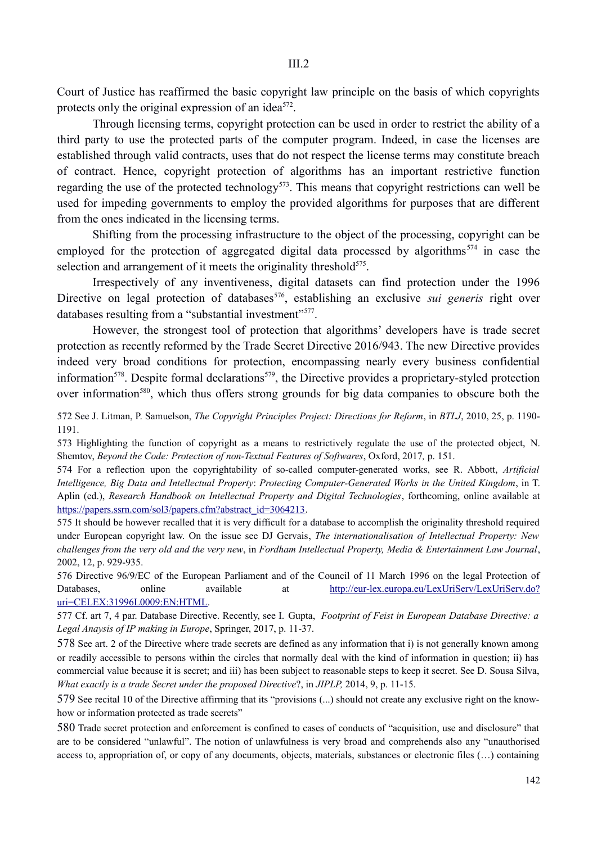Court of Justice has reaffirmed the basic copyright law principle on the basis of which copyrights protects only the original expression of an idea<sup>572</sup>.

Through licensing terms, copyright protection can be used in order to restrict the ability of a third party to use the protected parts of the computer program. Indeed, in case the licenses are established through valid contracts, uses that do not respect the license terms may constitute breach of contract. Hence, copyright protection of algorithms has an important restrictive function regarding the use of the protected technology<sup>573</sup>. This means that copyright restrictions can well be used for impeding governments to employ the provided algorithms for purposes that are different from the ones indicated in the licensing terms.

Shifting from the processing infrastructure to the object of the processing, copyright can be employed for the protection of aggregated digital data processed by algorithms<sup>574</sup> in case the selection and arrangement of it meets the originality threshold<sup>575</sup>.

Irrespectively of any inventiveness, digital datasets can find protection under the 1996 Directive on legal protection of databases<sup>576</sup>, establishing an exclusive *sui generis* right over databases resulting from a "substantial investment"<sup>577</sup>.

However, the strongest tool of protection that algorithms' developers have is trade secret protection as recently reformed by the Trade Secret Directive 2016/943. The new Directive provides indeed very broad conditions for protection, encompassing nearly every business confidential information<sup>578</sup>. Despite formal declarations<sup>579</sup>, the Directive provides a proprietary-styled protection over information<sup>580</sup>, which thus offers strong grounds for big data companies to obscure both the

572 See J. Litman, P. Samuelson, *The Copyright Principles Project: Directions for Reform*, in *BTLJ*, 2010, 25, p. 1190- 1191.

573 Highlighting the function of copyright as a means to restrictively regulate the use of the protected object, N. Shemtov, *Beyond the Code: Protection of non-Textual Features of Softwares*, Oxford, 2017*,* p. 151.

574 For a reflection upon the copyrightability of so-called computer-generated works, see R. Abbott, *Artificial Intelligence, Big Data and Intellectual Property*: *Protecting Computer-Generated Works in the United Kingdom*, in T. Aplin (ed.), *Research Handbook on Intellectual Property and Digital Technologies*, forthcoming, online available at https://papers.ssrn.com/sol3/papers.cfm?abstract\_id=3064213.

575 It should be however recalled that it is very difficult for a database to accomplish the originality threshold required under European copyright law. On the issue see DJ Gervais, *The internationalisation of Intellectual Property: New challenges from the very old and the very new*, in *Fordham Intellectual Property, Media & Entertainment Law Journal*, 2002, 12, p. 929-935.

576 Directive 96/9/EC of the European Parliament and of the Council of 11 March 1996 on the legal Protection of Databases, online available at http://eur-lex.europa.eu/LexUriServ.lexUriServ.do? uri=CELEX:31996L0009:EN:HTML.

577 Cf. art 7, 4 par. Database Directive. Recently, see I. Gupta, *Footprint of Feist in European Database Directive: a Legal Anaysis of IP making in Europe*, Springer, 2017, p. 11-37.

578 See art. 2 of the Directive where trade secrets are defined as any information that i) is not generally known among or readily accessible to persons within the circles that normally deal with the kind of information in question; ii) has commercial value because it is secret; and iii) has been subject to reasonable steps to keep it secret. See D. Sousa Silva, *What exactly is a trade Secret under the proposed Directive*?, in *JIPLP,* 2014, 9, p. 11-15.

579 See recital 10 of the Directive affirming that its "provisions (...) should not create any exclusive right on the knowhow or information protected as trade secrets"

580 Trade secret protection and enforcement is confined to cases of conducts of "acquisition, use and disclosure" that are to be considered "unlawful". The notion of unlawfulness is very broad and comprehends also any "unauthorised access to, appropriation of, or copy of any documents, objects, materials, substances or electronic files (…) containing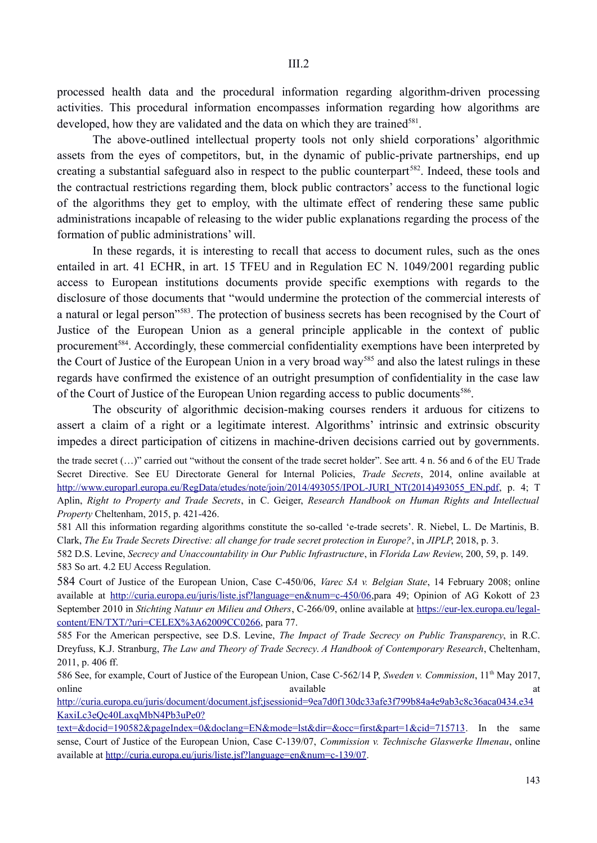III.2

processed health data and the procedural information regarding algorithm-driven processing activities. This procedural information encompasses information regarding how algorithms are developed, how they are validated and the data on which they are trained<sup>581</sup>.

The above-outlined intellectual property tools not only shield corporations' algorithmic assets from the eyes of competitors, but, in the dynamic of public-private partnerships, end up creating a substantial safeguard also in respect to the public counterpart<sup>582</sup>. Indeed, these tools and the contractual restrictions regarding them, block public contractors' access to the functional logic of the algorithms they get to employ, with the ultimate effect of rendering these same public administrations incapable of releasing to the wider public explanations regarding the process of the formation of public administrations' will.

In these regards, it is interesting to recall that access to document rules, such as the ones entailed in art. 41 ECHR, in art. 15 TFEU and in Regulation EC N. 1049/2001 regarding public access to European institutions documents provide specific exemptions with regards to the disclosure of those documents that "would undermine the protection of the commercial interests of a natural or legal person<sup>"583</sup>. The protection of business secrets has been recognised by the Court of Justice of the European Union as a general principle applicable in the context of public procurement<sup>584</sup>. Accordingly, these commercial confidentiality exemptions have been interpreted by the Court of Justice of the European Union in a very broad way<sup>585</sup> and also the latest rulings in these regards have confirmed the existence of an outright presumption of confidentiality in the case law of the Court of Justice of the European Union regarding access to public documents<sup>586</sup>.

The obscurity of algorithmic decision-making courses renders it arduous for citizens to assert a claim of a right or a legitimate interest. Algorithms' intrinsic and extrinsic obscurity impedes a direct participation of citizens in machine-driven decisions carried out by governments.

the trade secret (…)" carried out "without the consent of the trade secret holder". See artt. 4 n. 56 and 6 of the EU Trade Secret Directive. See EU Directorate General for Internal Policies, *Trade Secrets*, 2014, online available at http://www.europarl.europa.eu/RegData/etudes/note/join/2014/493055/IPOL-JURI\_NT(2014)493055\_EN.pdf, p. 4; T Aplin, *Right to Property and Trade Secrets*, in C. Geiger, *Research Handbook on Human Rights and Intellectual Property* Cheltenham, 2015, p. 421-426.

581 All this information regarding algorithms constitute the so-called 'e-trade secrets'. R. Niebel, L. De Martinis, B. Clark, *The Eu Trade Secrets Directive: all change for trade secret protection in Europe?*, in *JIPLP*, 2018, p. 3.

582 D.S. Levine, *Secrecy and Unaccountability in Our Public Infrastructure*, in *Florida Law Review*, 200, 59, p. 149. 583 So art. 4.2 EU Access Regulation.

584 Court of Justice of the European Union, Case C-450/06, *Varec SA v. Belgian State*, 14 February 2008; online available at http://curia.europa.eu/juris/liste.jsf?language=en&num=c-450/06,para 49; Opinion of AG Kokott of 23 September 2010 in *Stichting Natuur en Milieu and Others*, C-266/09, online available at https://eur-lex.europa.eu/legalcontent/EN/TXT/?uri=CELEX%3A62009CC0266, para 77.

585 For the American perspective, see D.S. Levine, *The Impact of Trade Secrecy on Public Transparency*, in R.C. Dreyfuss, K.J. Stranburg, *The Law and Theory of Trade Secrecy*. *A Handbook of Contemporary Research*, Cheltenham, 2011, p. 406 ff.

586 See, for example, Court of Justice of the European Union, Case C-562/14 P, *Sweden v. Commission*, 11th May 2017, online available at a state at a state at  $\alpha$  and  $\alpha$  at  $\alpha$  at  $\alpha$  at  $\alpha$  at  $\alpha$  at  $\alpha$  at  $\alpha$  at  $\alpha$  at  $\alpha$  at  $\alpha$  at  $\alpha$  at  $\alpha$  at  $\alpha$  at  $\alpha$  at  $\alpha$  at  $\alpha$  at  $\alpha$  at  $\alpha$  at  $\alpha$  at  $\alpha$  at  $\alpha$  at  $\alpha$ 

http://curia.europa.eu/juris/document/document.jsf;jsessionid=9ea7d0f130dc33afe3f799b84a4e9ab3c8c36aca0434.e34 KaxiLc3eQc40LaxqMbN4Pb3uPe0?

text=&docid=190582&pageIndex=0&doclang=EN&mode=lst&dir=&occ=first&part=1&cid=715713. In the same sense, Court of Justice of the European Union, Case C-139/07, *Commission v. Technische Glaswerke Ilmenau*, online available at http://curia.europa.eu/juris/liste.jsf?language=en&num=c-139/07.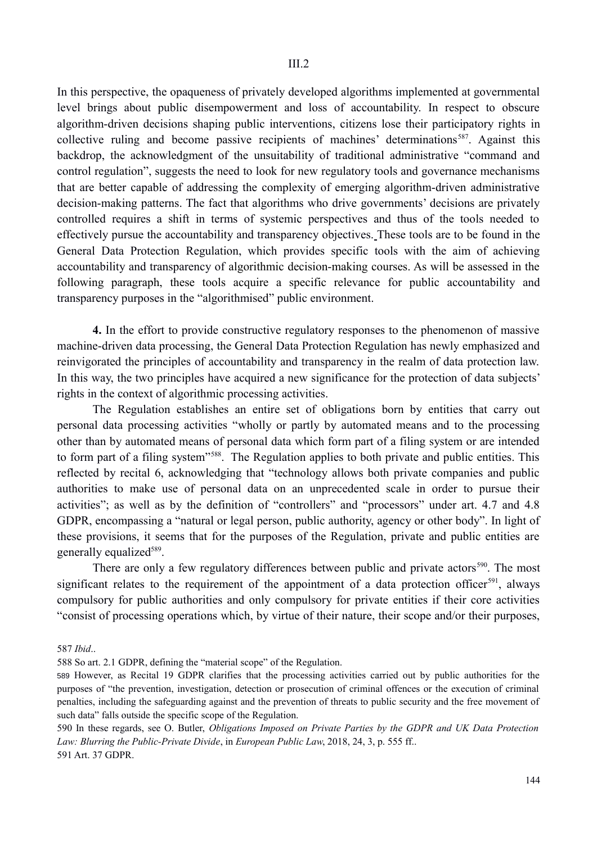In this perspective, the opaqueness of privately developed algorithms implemented at governmental level brings about public disempowerment and loss of accountability. In respect to obscure algorithm-driven decisions shaping public interventions, citizens lose their participatory rights in collective ruling and become passive recipients of machines' determinations<sup>587</sup>. Against this backdrop, the acknowledgment of the unsuitability of traditional administrative "command and control regulation", suggests the need to look for new regulatory tools and governance mechanisms that are better capable of addressing the complexity of emerging algorithm-driven administrative decision-making patterns. The fact that algorithms who drive governments' decisions are privately controlled requires a shift in terms of systemic perspectives and thus of the tools needed to effectively pursue the accountability and transparency objectives. These tools are to be found in the General Data Protection Regulation, which provides specific tools with the aim of achieving accountability and transparency of algorithmic decision-making courses. As will be assessed in the following paragraph, these tools acquire a specific relevance for public accountability and transparency purposes in the "algorithmised" public environment.

**4.** In the effort to provide constructive regulatory responses to the phenomenon of massive machine-driven data processing, the General Data Protection Regulation has newly emphasized and reinvigorated the principles of accountability and transparency in the realm of data protection law. In this way, the two principles have acquired a new significance for the protection of data subjects' rights in the context of algorithmic processing activities.

The Regulation establishes an entire set of obligations born by entities that carry out personal data processing activities "wholly or partly by automated means and to the processing other than by automated means of personal data which form part of a filing system or are intended to form part of a filing system"588. The Regulation applies to both private and public entities. This reflected by recital 6, acknowledging that "technology allows both private companies and public authorities to make use of personal data on an unprecedented scale in order to pursue their activities"; as well as by the definition of "controllers" and "processors" under art. 4.7 and 4.8 GDPR, encompassing a "natural or legal person, public authority, agency or other body". In light of these provisions, it seems that for the purposes of the Regulation, private and public entities are generally equalized<sup>589</sup>.

There are only a few regulatory differences between public and private actors<sup>590</sup>. The most significant relates to the requirement of the appointment of a data protection officer<sup>591</sup>, always compulsory for public authorities and only compulsory for private entities if their core activities "consist of processing operations which, by virtue of their nature, their scope and/or their purposes,

587 *Ibid*..

588 So art. 2.1 GDPR, defining the "material scope" of the Regulation.

589 However, as Recital 19 GDPR clarifies that the processing activities carried out by public authorities for the purposes of "the prevention, investigation, detection or prosecution of criminal offences or the execution of criminal penalties, including the safeguarding against and the prevention of threats to public security and the free movement of such data" falls outside the specific scope of the Regulation.

590 In these regards, see O. Butler, *Obligations Imposed on Private Parties by the GDPR and UK Data Protection Law: Blurring the Public-Private Divide*, in *European Public Law*, 2018, 24, 3, p. 555 ff.. 591 Art. 37 GDPR.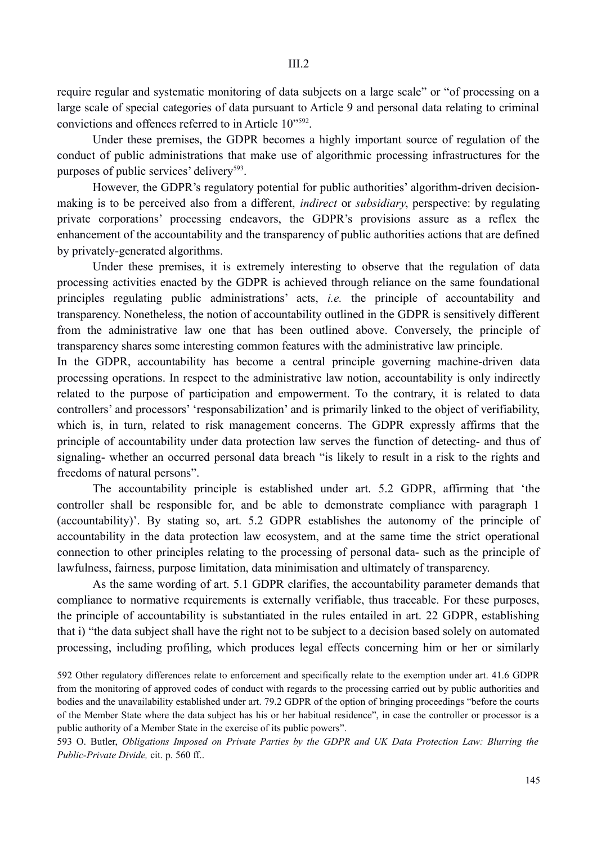require regular and systematic monitoring of data subjects on a large scale" or "of processing on a large scale of special categories of data pursuant to Article 9 and personal data relating to criminal convictions and offences referred to in Article 10"592.

Under these premises, the GDPR becomes a highly important source of regulation of the conduct of public administrations that make use of algorithmic processing infrastructures for the purposes of public services' delivery<sup>593</sup>.

However, the GDPR's regulatory potential for public authorities' algorithm-driven decisionmaking is to be perceived also from a different, *indirect* or *subsidiary*, perspective: by regulating private corporations' processing endeavors, the GDPR's provisions assure as a reflex the enhancement of the accountability and the transparency of public authorities actions that are defined by privately-generated algorithms.

Under these premises, it is extremely interesting to observe that the regulation of data processing activities enacted by the GDPR is achieved through reliance on the same foundational principles regulating public administrations' acts, *i.e.* the principle of accountability and transparency. Nonetheless, the notion of accountability outlined in the GDPR is sensitively different from the administrative law one that has been outlined above. Conversely, the principle of transparency shares some interesting common features with the administrative law principle.

In the GDPR, accountability has become a central principle governing machine-driven data processing operations. In respect to the administrative law notion, accountability is only indirectly related to the purpose of participation and empowerment. To the contrary, it is related to data controllers' and processors' 'responsabilization' and is primarily linked to the object of verifiability, which is, in turn, related to risk management concerns. The GDPR expressly affirms that the principle of accountability under data protection law serves the function of detecting- and thus of signaling- whether an occurred personal data breach "is likely to result in a risk to the rights and freedoms of natural persons".

The accountability principle is established under art. 5.2 GDPR, affirming that 'the controller shall be responsible for, and be able to demonstrate compliance with paragraph 1 (accountability)'. By stating so, art. 5.2 GDPR establishes the autonomy of the principle of accountability in the data protection law ecosystem, and at the same time the strict operational connection to other principles relating to the processing of personal data- such as the principle of lawfulness, fairness, purpose limitation, data minimisation and ultimately of transparency.

As the same wording of art. 5.1 GDPR clarifies, the accountability parameter demands that compliance to normative requirements is externally verifiable, thus traceable. For these purposes, the principle of accountability is substantiated in the rules entailed in art. 22 GDPR, establishing that i) "the data subject shall have the right not to be subject to a decision based solely on automated processing, including profiling, which produces legal effects concerning him or her or similarly

592 Other regulatory differences relate to enforcement and specifically relate to the exemption under art. 41.6 GDPR from the monitoring of approved codes of conduct with regards to the processing carried out by public authorities and bodies and the unavailability established under art. 79.2 GDPR of the option of bringing proceedings "before the courts of the Member State where the data subject has his or her habitual residence", in case the controller or processor is a public authority of a Member State in the exercise of its public powers".

593 O. Butler, *Obligations Imposed on Private Parties by the GDPR and UK Data Protection Law: Blurring the Public-Private Divide,* cit. p. 560 ff..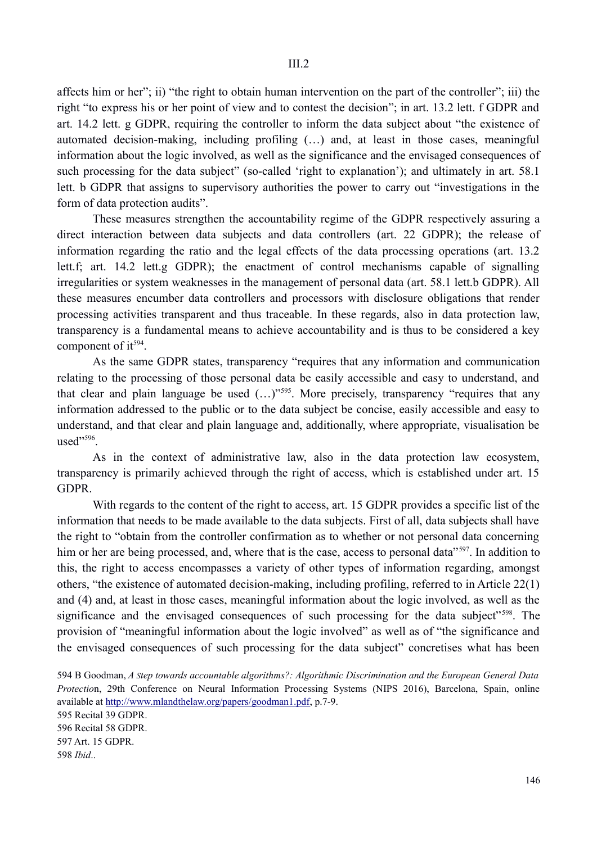affects him or her"; ii) "the right to obtain human intervention on the part of the controller"; iii) the right "to express his or her point of view and to contest the decision"; in art. 13.2 lett. f GDPR and art. 14.2 lett. g GDPR, requiring the controller to inform the data subject about "the existence of automated decision-making, including profiling (…) and, at least in those cases, meaningful information about the logic involved, as well as the significance and the envisaged consequences of such processing for the data subject" (so-called 'right to explanation'); and ultimately in art. 58.1 lett. b GDPR that assigns to supervisory authorities the power to carry out "investigations in the form of data protection audits".

These measures strengthen the accountability regime of the GDPR respectively assuring a direct interaction between data subjects and data controllers (art. 22 GDPR); the release of information regarding the ratio and the legal effects of the data processing operations (art. 13.2 lett.f; art. 14.2 lett.g GDPR); the enactment of control mechanisms capable of signalling irregularities or system weaknesses in the management of personal data (art. 58.1 lett.b GDPR). All these measures encumber data controllers and processors with disclosure obligations that render processing activities transparent and thus traceable. In these regards, also in data protection law, transparency is a fundamental means to achieve accountability and is thus to be considered a key component of  $it^{594}$ .

As the same GDPR states, transparency "requires that any information and communication relating to the processing of those personal data be easily accessible and easy to understand, and that clear and plain language be used  $(...)^{595}$ . More precisely, transparency "requires that any information addressed to the public or to the data subject be concise, easily accessible and easy to understand, and that clear and plain language and, additionally, where appropriate, visualisation be used"<sup>596</sup>

As in the context of administrative law, also in the data protection law ecosystem, transparency is primarily achieved through the right of access, which is established under art. 15 GDPR.

With regards to the content of the right to access, art. 15 GDPR provides a specific list of the information that needs to be made available to the data subjects. First of all, data subjects shall have the right to "obtain from the controller confirmation as to whether or not personal data concerning him or her are being processed, and, where that is the case, access to personal data<sup>"597</sup>. In addition to this, the right to access encompasses a variety of other types of information regarding, amongst others, "the existence of automated decision-making, including profiling, referred to in Article 22(1) and (4) and, at least in those cases, meaningful information about the logic involved, as well as the significance and the envisaged consequences of such processing for the data subject<sup>"598</sup>. The provision of "meaningful information about the logic involved" as well as of "the significance and the envisaged consequences of such processing for the data subject" concretises what has been

595 Recital 39 GDPR. 596 Recital 58 GDPR. 597 Art. 15 GDPR. 598 *Ibid*..

<sup>594</sup> B Goodman, *A Step towards accountable algorithms?: Algorithmic Discrimination and the European General Data Protectio*n, 29th Conference on Neural Information Processing Systems (NIPS 2016), Barcelona, Spain, online available at http://www.mlandthelaw.org/papers/goodman1.pdf, p.7-9.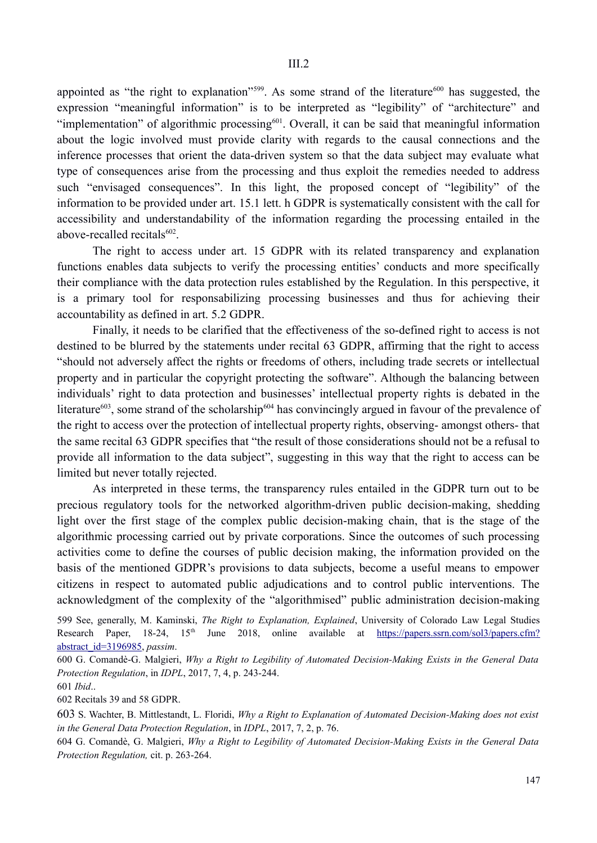appointed as "the right to explanation"<sup>599</sup>. As some strand of the literature<sup>600</sup> has suggested, the expression "meaningful information" is to be interpreted as "legibility" of "architecture" and "implementation" of algorithmic processing<sup>601</sup>. Overall, it can be said that meaningful information about the logic involved must provide clarity with regards to the causal connections and the inference processes that orient the data-driven system so that the data subject may evaluate what type of consequences arise from the processing and thus exploit the remedies needed to address such "envisaged consequences". In this light, the proposed concept of "legibility" of the information to be provided under art. 15.1 lett. h GDPR is systematically consistent with the call for accessibility and understandability of the information regarding the processing entailed in the above-recalled recitals<sup>602</sup>.

The right to access under art. 15 GDPR with its related transparency and explanation functions enables data subjects to verify the processing entities' conducts and more specifically their compliance with the data protection rules established by the Regulation. In this perspective, it is a primary tool for responsabilizing processing businesses and thus for achieving their accountability as defined in art. 5.2 GDPR.

Finally, it needs to be clarified that the effectiveness of the so-defined right to access is not destined to be blurred by the statements under recital 63 GDPR, affirming that the right to access "should not adversely affect the rights or freedoms of others, including trade secrets or intellectual property and in particular the copyright protecting the software". Although the balancing between individuals' right to data protection and businesses' intellectual property rights is debated in the literature<sup>603</sup>, some strand of the scholarship<sup>604</sup> has convincingly argued in favour of the prevalence of the right to access over the protection of intellectual property rights, observing- amongst others- that the same recital 63 GDPR specifies that "the result of those considerations should not be a refusal to provide all information to the data subject", suggesting in this way that the right to access can be limited but never totally rejected.

As interpreted in these terms, the transparency rules entailed in the GDPR turn out to be precious regulatory tools for the networked algorithm-driven public decision-making, shedding light over the first stage of the complex public decision-making chain, that is the stage of the algorithmic processing carried out by private corporations. Since the outcomes of such processing activities come to define the courses of public decision making, the information provided on the basis of the mentioned GDPR's provisions to data subjects, become a useful means to empower citizens in respect to automated public adjudications and to control public interventions. The acknowledgment of the complexity of the "algorithmised" public administration decision-making

602 Recitals 39 and 58 GDPR.

<sup>599</sup> See, generally, M. Kaminski, *The Right to Explanation, Explained*, University of Colorado Law Legal Studies Research Paper, 18-24, 15<sup>th</sup> June 2018, online available at https://papers.ssrn.com/sol3/papers.cfm? abstract\_id=3196985, *passim*.

<sup>600</sup> G. Comandè-G. Malgieri, *Why a Right to Legibility of Automated Decision-Making Exists in the General Data Protection Regulation*, in *IDPL*, 2017, 7, 4, p. 243-244.

<sup>601</sup> *Ibid*..

<sup>603</sup> S. Wachter, B. Mittlestandt, L. Floridi, *Why a Right to Explanation of Automated Decision-Making does not exist in the General Data Protection Regulation*, in *IDPL*, 2017, 7, 2, p. 76.

<sup>604</sup> G. Comandè, G. Malgieri, *Why a Right to Legibility of Automated Decision-Making Exists in the General Data Protection Regulation,* cit. p. 263-264.